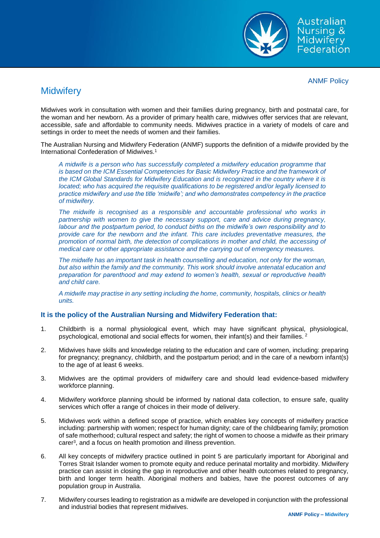

Australian Nursing & Midwifery Federation

ANMF Policy

## **Midwifery**

Midwives work in consultation with women and their families during pregnancy, birth and postnatal care, for the woman and her newborn. As a provider of primary health care, midwives offer services that are relevant, accessible, safe and affordable to community needs. Midwives practice in a variety of models of care and settings in order to meet the needs of women and their families.

The Australian Nursing and Midwifery Federation (ANMF) supports the definition of a midwife provided by the International Confederation of Midwives.<sup>1</sup>

*A midwife is a person who has successfully completed a midwifery education programme that is based on the ICM Essential Competencies for Basic Midwifery Practice and the framework of the ICM Global Standards for Midwifery Education and is recognized in the country where it is located; who has acquired the requisite qualifications to be registered and/or legally licensed to practice midwifery and use the title 'midwife'; and who demonstrates competency in the practice of midwifery.* 

*The midwife is recognised as a responsible and accountable professional who works in partnership with women to give the necessary support, care and advice during pregnancy, labour and the postpartum period, to conduct births on the midwife's own responsibility and to provide care for the newborn and the infant. This care includes preventative measures, the promotion of normal birth, the detection of complications in mother and child, the accessing of medical care or other appropriate assistance and the carrying out of emergency measures.* 

*The midwife has an important task in health counselling and education, not only for the woman, but also within the family and the community. This work should involve antenatal education and preparation for parenthood and may extend to women's health, sexual or reproductive health and child care.* 

*A midwife may practise in any setting including the home, community, hospitals, clinics or health units.*

## **It is the policy of the Australian Nursing and Midwifery Federation that:**

- 1. Childbirth is a normal physiological event, which may have significant physical, physiological, psychological, emotional and social effects for women, their infant(s) and their families. <sup>2</sup>
- 2. Midwives have skills and knowledge relating to the education and care of women, including: preparing for pregnancy; pregnancy, childbirth, and the postpartum period; and in the care of a newborn infant(s) to the age of at least 6 weeks.
- 3. Midwives are the optimal providers of midwifery care and should lead evidence-based midwifery workforce planning.
- 4. Midwifery workforce planning should be informed by national data collection, to ensure safe, quality services which offer a range of choices in their mode of delivery.
- 5. Midwives work within a defined scope of practice, which enables key concepts of midwifery practice including: partnership with women; respect for human dignity; care of the childbearing family; promotion of safe motherhood; cultural respect and safety; the right of women to choose a midwife as their primary carer<sup>3</sup> , and a focus on health promotion and illness prevention.
- 6. All key concepts of midwifery practice outlined in point 5 are particularly important for Aboriginal and Torres Strait Islander women to promote equity and reduce perinatal mortality and morbidity. Midwifery practice can assist in closing the gap in reproductive and other health outcomes related to pregnancy, birth and longer term health. Aboriginal mothers and babies, have the poorest outcomes of any population group in Australia.
- 7. Midwifery courses leading to registration as a midwife are developed in conjunction with the professional and industrial bodies that represent midwives.